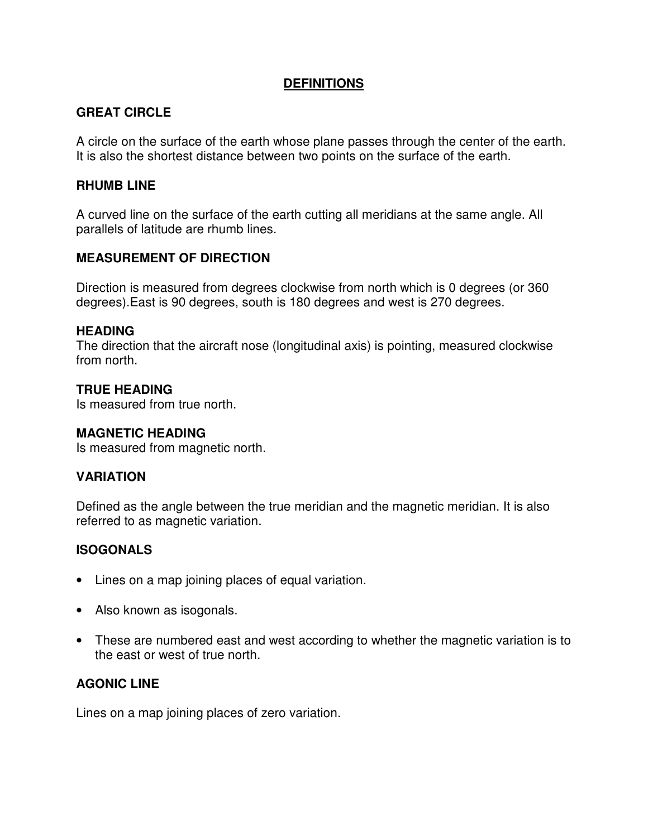### **DEFINITIONS**

# **GREAT CIRCLE**

A circle on the surface of the earth whose plane passes through the center of the earth. It is also the shortest distance between two points on the surface of the earth.

#### **RHUMB LINE**

A curved line on the surface of the earth cutting all meridians at the same angle. All parallels of latitude are rhumb lines.

### **MEASUREMENT OF DIRECTION**

Direction is measured from degrees clockwise from north which is 0 degrees (or 360 degrees).East is 90 degrees, south is 180 degrees and west is 270 degrees.

#### **HEADING**

The direction that the aircraft nose (longitudinal axis) is pointing, measured clockwise from north.

### **TRUE HEADING**

Is measured from true north.

#### **MAGNETIC HEADING**

Is measured from magnetic north.

# **VARIATION**

Defined as the angle between the true meridian and the magnetic meridian. It is also referred to as magnetic variation.

# **ISOGONALS**

- Lines on a map joining places of equal variation.
- Also known as isogonals.
- These are numbered east and west according to whether the magnetic variation is to the east or west of true north.

### **AGONIC LINE**

Lines on a map joining places of zero variation.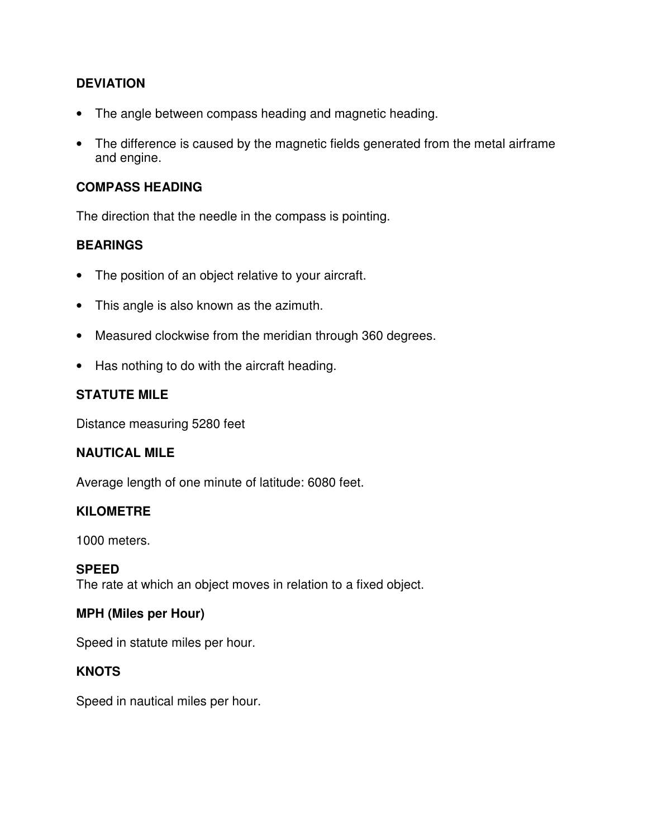# **DEVIATION**

- The angle between compass heading and magnetic heading.
- The difference is caused by the magnetic fields generated from the metal airframe and engine.

### **COMPASS HEADING**

The direction that the needle in the compass is pointing.

# **BEARINGS**

- The position of an object relative to your aircraft.
- This angle is also known as the azimuth.
- Measured clockwise from the meridian through 360 degrees.
- Has nothing to do with the aircraft heading.

### **STATUTE MILE**

Distance measuring 5280 feet

#### **NAUTICAL MILE**

Average length of one minute of latitude: 6080 feet.

#### **KILOMETRE**

1000 meters.

# **SPEED**

The rate at which an object moves in relation to a fixed object.

# **MPH (Miles per Hour)**

Speed in statute miles per hour.

# **KNOTS**

Speed in nautical miles per hour.